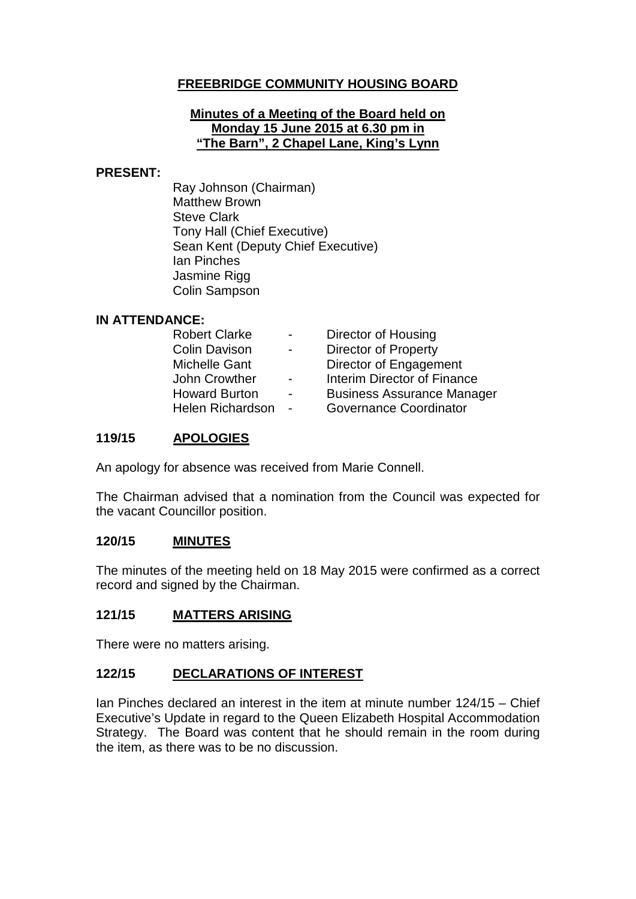# **FREEBRIDGE COMMUNITY HOUSING BOARD**

#### **Minutes of a Meeting of the Board held on Monday 15 June 2015 at 6.30 pm in "The Barn", 2 Chapel Lane, King's Lynn**

#### **PRESENT:**

Ray Johnson (Chairman) Matthew Brown Steve Clark Tony Hall (Chief Executive) Sean Kent (Deputy Chief Executive) Ian Pinches Jasmine Rigg Colin Sampson

#### **IN ATTENDANCE:**

| <b>Robert Clarke</b>    | $\overline{\phantom{0}}$ | Director of Housing               |
|-------------------------|--------------------------|-----------------------------------|
| <b>Colin Davison</b>    | $\blacksquare$           | <b>Director of Property</b>       |
| <b>Michelle Gant</b>    |                          | Director of Engagement            |
| John Crowther           | $\blacksquare$           | Interim Director of Finance       |
| <b>Howard Burton</b>    | $\blacksquare$           | <b>Business Assurance Manager</b> |
| <b>Helen Richardson</b> | $\blacksquare$           | <b>Governance Coordinator</b>     |

### **119/15 APOLOGIES**

An apology for absence was received from Marie Connell.

The Chairman advised that a nomination from the Council was expected for the vacant Councillor position.

### **120/15 MINUTES**

The minutes of the meeting held on 18 May 2015 were confirmed as a correct record and signed by the Chairman.

### **121/15 MATTERS ARISING**

There were no matters arising.

### **122/15 DECLARATIONS OF INTEREST**

Ian Pinches declared an interest in the item at minute number 124/15 – Chief Executive's Update in regard to the Queen Elizabeth Hospital Accommodation Strategy. The Board was content that he should remain in the room during the item, as there was to be no discussion.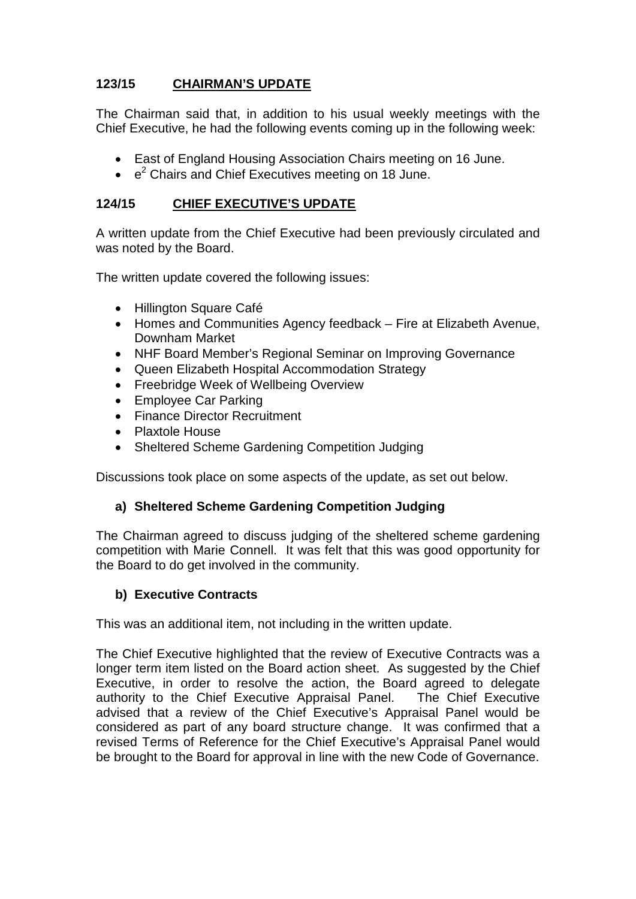# **123/15 CHAIRMAN'S UPDATE**

The Chairman said that, in addition to his usual weekly meetings with the Chief Executive, he had the following events coming up in the following week:

- East of England Housing Association Chairs meeting on 16 June.
- $\cdot$   $e^2$  Chairs and Chief Executives meeting on 18 June.

### **124/15 CHIEF EXECUTIVE'S UPDATE**

A written update from the Chief Executive had been previously circulated and was noted by the Board.

The written update covered the following issues:

- Hillington Square Café
- Homes and Communities Agency feedback Fire at Elizabeth Avenue, Downham Market
- NHF Board Member's Regional Seminar on Improving Governance
- Queen Elizabeth Hospital Accommodation Strategy
- Freebridge Week of Wellbeing Overview
- Employee Car Parking
- Finance Director Recruitment
- Plaxtole House
- Sheltered Scheme Gardening Competition Judging

Discussions took place on some aspects of the update, as set out below.

### **a) Sheltered Scheme Gardening Competition Judging**

The Chairman agreed to discuss judging of the sheltered scheme gardening competition with Marie Connell. It was felt that this was good opportunity for the Board to do get involved in the community.

## **b) Executive Contracts**

This was an additional item, not including in the written update.

The Chief Executive highlighted that the review of Executive Contracts was a longer term item listed on the Board action sheet. As suggested by the Chief Executive, in order to resolve the action, the Board agreed to delegate authority to the Chief Executive Appraisal Panel. The Chief Executive advised that a review of the Chief Executive's Appraisal Panel would be considered as part of any board structure change. It was confirmed that a revised Terms of Reference for the Chief Executive's Appraisal Panel would be brought to the Board for approval in line with the new Code of Governance.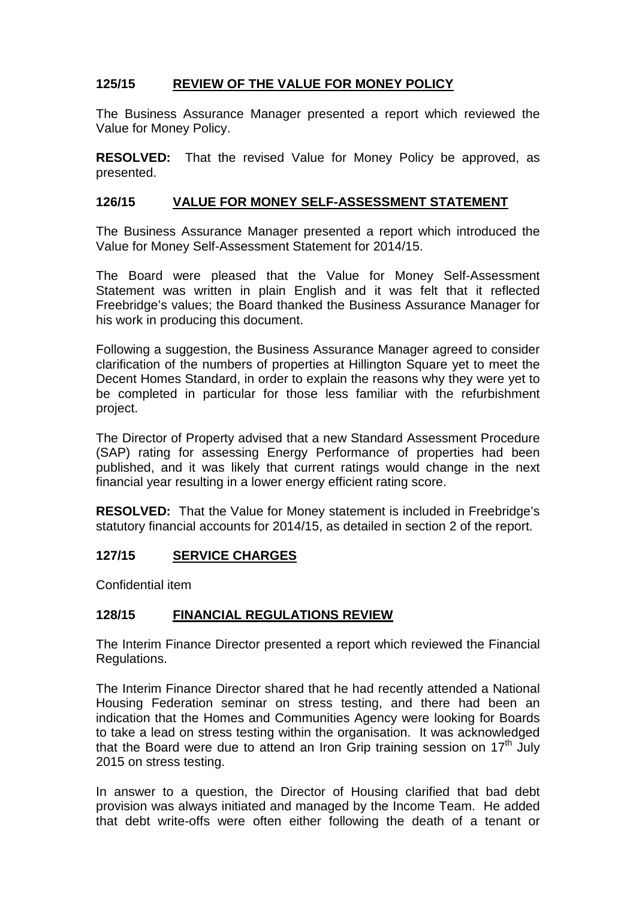# **125/15 REVIEW OF THE VALUE FOR MONEY POLICY**

The Business Assurance Manager presented a report which reviewed the Value for Money Policy.

**RESOLVED:** That the revised Value for Money Policy be approved, as presented.

#### **126/15 VALUE FOR MONEY SELF-ASSESSMENT STATEMENT**

The Business Assurance Manager presented a report which introduced the Value for Money Self-Assessment Statement for 2014/15.

The Board were pleased that the Value for Money Self-Assessment Statement was written in plain English and it was felt that it reflected Freebridge's values; the Board thanked the Business Assurance Manager for his work in producing this document.

Following a suggestion, the Business Assurance Manager agreed to consider clarification of the numbers of properties at Hillington Square yet to meet the Decent Homes Standard, in order to explain the reasons why they were yet to be completed in particular for those less familiar with the refurbishment project.

The Director of Property advised that a new Standard Assessment Procedure (SAP) rating for assessing Energy Performance of properties had been published, and it was likely that current ratings would change in the next financial year resulting in a lower energy efficient rating score.

**RESOLVED:** That the Value for Money statement is included in Freebridge's statutory financial accounts for 2014/15, as detailed in section 2 of the report.

## **127/15 SERVICE CHARGES**

Confidential item

### **128/15 FINANCIAL REGULATIONS REVIEW**

The Interim Finance Director presented a report which reviewed the Financial Regulations.

The Interim Finance Director shared that he had recently attended a National Housing Federation seminar on stress testing, and there had been an indication that the Homes and Communities Agency were looking for Boards to take a lead on stress testing within the organisation. It was acknowledged that the Board were due to attend an Iron Grip training session on  $17<sup>th</sup>$  July 2015 on stress testing.

In answer to a question, the Director of Housing clarified that bad debt provision was always initiated and managed by the Income Team. He added that debt write-offs were often either following the death of a tenant or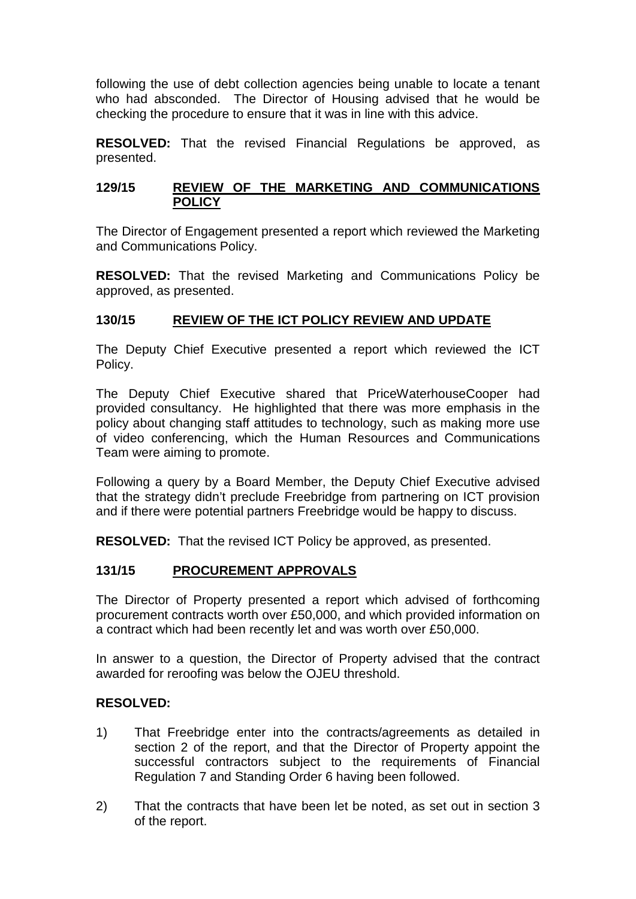following the use of debt collection agencies being unable to locate a tenant who had absconded. The Director of Housing advised that he would be checking the procedure to ensure that it was in line with this advice.

**RESOLVED:** That the revised Financial Regulations be approved, as presented.

### **129/15 REVIEW OF THE MARKETING AND COMMUNICATIONS POLICY**

The Director of Engagement presented a report which reviewed the Marketing and Communications Policy.

**RESOLVED:** That the revised Marketing and Communications Policy be approved, as presented.

### **130/15 REVIEW OF THE ICT POLICY REVIEW AND UPDATE**

The Deputy Chief Executive presented a report which reviewed the ICT Policy.

The Deputy Chief Executive shared that PriceWaterhouseCooper had provided consultancy. He highlighted that there was more emphasis in the policy about changing staff attitudes to technology, such as making more use of video conferencing, which the Human Resources and Communications Team were aiming to promote.

Following a query by a Board Member, the Deputy Chief Executive advised that the strategy didn't preclude Freebridge from partnering on ICT provision and if there were potential partners Freebridge would be happy to discuss.

**RESOLVED:** That the revised ICT Policy be approved, as presented.

### **131/15 PROCUREMENT APPROVALS**

The Director of Property presented a report which advised of forthcoming procurement contracts worth over £50,000, and which provided information on a contract which had been recently let and was worth over £50,000.

In answer to a question, the Director of Property advised that the contract awarded for reroofing was below the OJEU threshold.

### **RESOLVED:**

- 1) That Freebridge enter into the contracts/agreements as detailed in section 2 of the report, and that the Director of Property appoint the successful contractors subject to the requirements of Financial Regulation 7 and Standing Order 6 having been followed.
- 2) That the contracts that have been let be noted, as set out in section 3 of the report.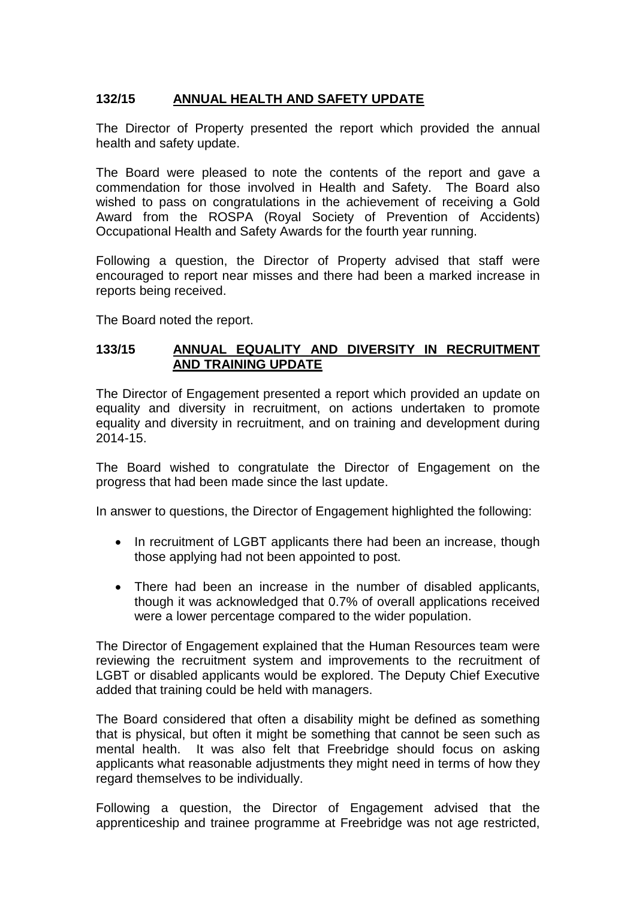## **132/15 ANNUAL HEALTH AND SAFETY UPDATE**

The Director of Property presented the report which provided the annual health and safety update.

The Board were pleased to note the contents of the report and gave a commendation for those involved in Health and Safety. The Board also wished to pass on congratulations in the achievement of receiving a Gold Award from the ROSPA (Royal Society of Prevention of Accidents) Occupational Health and Safety Awards for the fourth year running.

Following a question, the Director of Property advised that staff were encouraged to report near misses and there had been a marked increase in reports being received.

The Board noted the report.

### **133/15 ANNUAL EQUALITY AND DIVERSITY IN RECRUITMENT AND TRAINING UPDATE**

The Director of Engagement presented a report which provided an update on equality and diversity in recruitment, on actions undertaken to promote equality and diversity in recruitment, and on training and development during 2014-15.

The Board wished to congratulate the Director of Engagement on the progress that had been made since the last update.

In answer to questions, the Director of Engagement highlighted the following:

- In recruitment of LGBT applicants there had been an increase, though those applying had not been appointed to post.
- There had been an increase in the number of disabled applicants, though it was acknowledged that 0.7% of overall applications received were a lower percentage compared to the wider population.

The Director of Engagement explained that the Human Resources team were reviewing the recruitment system and improvements to the recruitment of LGBT or disabled applicants would be explored. The Deputy Chief Executive added that training could be held with managers.

The Board considered that often a disability might be defined as something that is physical, but often it might be something that cannot be seen such as mental health. It was also felt that Freebridge should focus on asking applicants what reasonable adjustments they might need in terms of how they regard themselves to be individually.

Following a question, the Director of Engagement advised that the apprenticeship and trainee programme at Freebridge was not age restricted,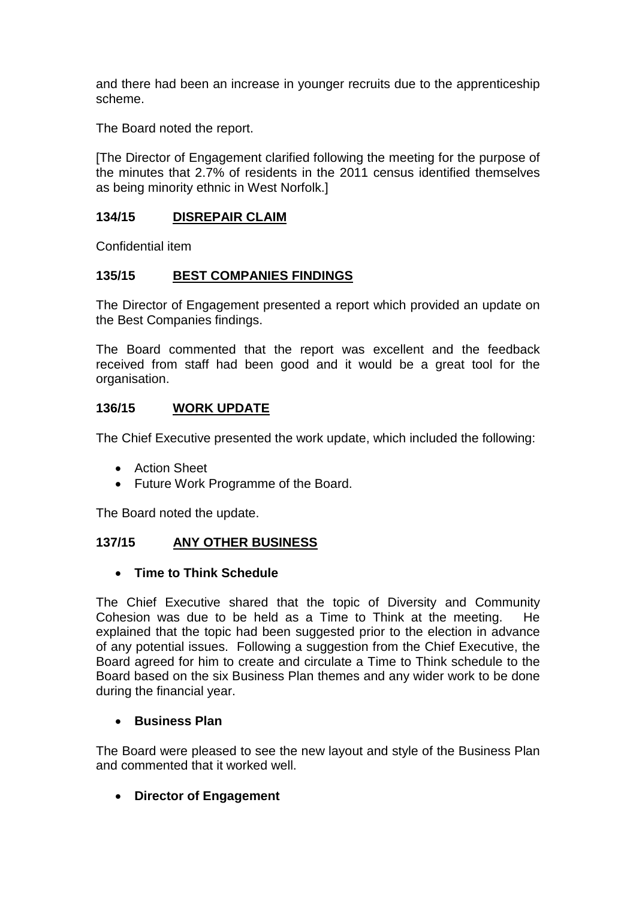and there had been an increase in younger recruits due to the apprenticeship scheme.

The Board noted the report.

[The Director of Engagement clarified following the meeting for the purpose of the minutes that 2.7% of residents in the 2011 census identified themselves as being minority ethnic in West Norfolk.]

### **134/15 DISREPAIR CLAIM**

Confidential item

### **135/15 BEST COMPANIES FINDINGS**

The Director of Engagement presented a report which provided an update on the Best Companies findings.

The Board commented that the report was excellent and the feedback received from staff had been good and it would be a great tool for the organisation.

### **136/15 WORK UPDATE**

The Chief Executive presented the work update, which included the following:

- Action Sheet
- Future Work Programme of the Board.

The Board noted the update.

### **137/15 ANY OTHER BUSINESS**

### • **Time to Think Schedule**

The Chief Executive shared that the topic of Diversity and Community Cohesion was due to be held as a Time to Think at the meeting. He explained that the topic had been suggested prior to the election in advance of any potential issues. Following a suggestion from the Chief Executive, the Board agreed for him to create and circulate a Time to Think schedule to the Board based on the six Business Plan themes and any wider work to be done during the financial year.

### • **Business Plan**

The Board were pleased to see the new layout and style of the Business Plan and commented that it worked well.

## • **Director of Engagement**